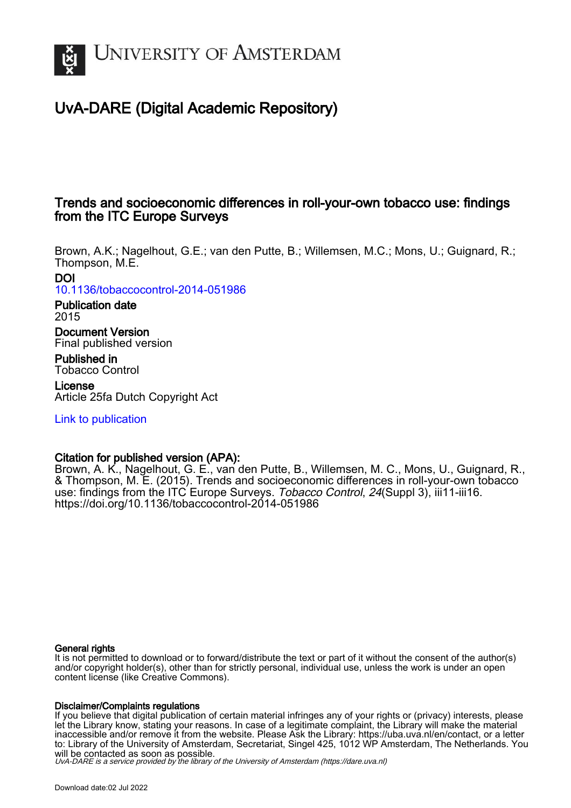

# UvA-DARE (Digital Academic Repository)

# Trends and socioeconomic differences in roll-your-own tobacco use: findings from the ITC Europe Surveys

Brown, A.K.; Nagelhout, G.E.; van den Putte, B.; Willemsen, M.C.; Mons, U.; Guignard, R.; Thompson, M.E.

DOI [10.1136/tobaccocontrol-2014-051986](https://doi.org/10.1136/tobaccocontrol-2014-051986)

Publication date 2015

Document Version Final published version

Published in Tobacco Control

License Article 25fa Dutch Copyright Act

[Link to publication](https://dare.uva.nl/personal/pure/en/publications/trends-and-socioeconomic-differences-in-rollyourown-tobacco-use-findings-from-the-itc-europe-surveys(5c5e5838-f631-4cb6-9708-442333c2b4e9).html)

## Citation for published version (APA):

Brown, A. K., Nagelhout, G. E., van den Putte, B., Willemsen, M. C., Mons, U., Guignard, R., & Thompson, M. E. (2015). Trends and socioeconomic differences in roll-your-own tobacco use: findings from the ITC Europe Surveys. Tobacco Control, 24 (Suppl 3), iii11-iii16. <https://doi.org/10.1136/tobaccocontrol-2014-051986>

### General rights

It is not permitted to download or to forward/distribute the text or part of it without the consent of the author(s) and/or copyright holder(s), other than for strictly personal, individual use, unless the work is under an open content license (like Creative Commons).

### Disclaimer/Complaints regulations

If you believe that digital publication of certain material infringes any of your rights or (privacy) interests, please let the Library know, stating your reasons. In case of a legitimate complaint, the Library will make the material inaccessible and/or remove it from the website. Please Ask the Library: https://uba.uva.nl/en/contact, or a letter to: Library of the University of Amsterdam, Secretariat, Singel 425, 1012 WP Amsterdam, The Netherlands. You will be contacted as soon as possible.

UvA-DARE is a service provided by the library of the University of Amsterdam (http*s*://dare.uva.nl)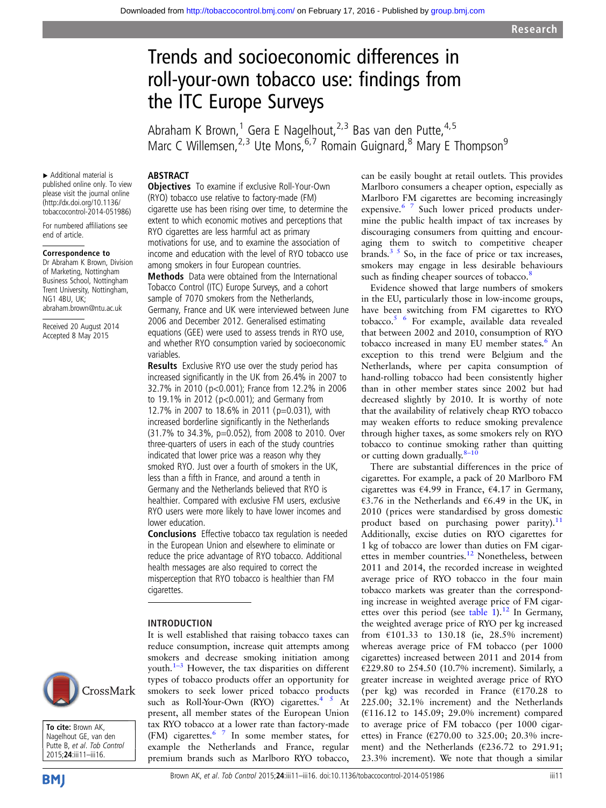# Trends and socioeconomic differences in roll-your-own tobacco use: findings from the ITC Europe Surveys

Abraham K Brown,<sup>1</sup> Gera E Nagelhout,<sup>2,3</sup> Bas van den Putte,<sup>4,5</sup> Marc C Willemsen,<sup>2,3</sup> Ute Mons, 6,7 Romain Guignard, <sup>8</sup> Mary E Thompson<sup>9</sup>

#### ABSTRACT

▸ Additional material is published online only. To view please visit the journal online [\(http://dx.doi.org/10.1136/](http://dx.doi.org/10.1136/tobaccocontrol-2014-051986) [tobaccocontrol-2014-051986\)](http://dx.doi.org/10.1136/tobaccocontrol-2014-051986)

For numbered affiliations see end of article.

#### Correspondence to

Dr Abraham K Brown, Division of Marketing, Nottingham Business School, Nottingham Trent University, Nottingham, NG1 4BU, UK; abraham.brown@ntu.ac.uk

Received 20 August 2014 Accepted 8 May 2015



To cite: Brown AK, Nagelhout GE, van den Putte B, et al. Tob Control 2015;24:iii11–iii16.

**Objectives** To examine if exclusive Roll-Your-Own (RYO) tobacco use relative to factory-made (FM) cigarette use has been rising over time, to determine the extent to which economic motives and perceptions that RYO cigarettes are less harmful act as primary motivations for use, and to examine the association of income and education with the level of RYO tobacco use among smokers in four European countries.

Methods Data were obtained from the International Tobacco Control (ITC) Europe Surveys, and a cohort sample of 7070 smokers from the Netherlands, Germany, France and UK were interviewed between June 2006 and December 2012. Generalised estimating equations (GEE) were used to assess trends in RYO use, and whether RYO consumption varied by socioeconomic variables.

**Results** Exclusive RYO use over the study period has increased significantly in the UK from 26.4% in 2007 to 32.7% in 2010 (p<0.001); France from 12.2% in 2006 to 19.1% in 2012 (p<0.001); and Germany from 12.7% in 2007 to 18.6% in 2011 (p=0.031), with increased borderline significantly in the Netherlands (31.7% to 34.3%, p=0.052), from 2008 to 2010. Over three-quarters of users in each of the study countries indicated that lower price was a reason why they smoked RYO. Just over a fourth of smokers in the UK, less than a fifth in France, and around a tenth in Germany and the Netherlands believed that RYO is healthier. Compared with exclusive FM users, exclusive RYO users were more likely to have lower incomes and lower education.

Conclusions Effective tobacco tax regulation is needed in the European Union and elsewhere to eliminate or reduce the price advantage of RYO tobacco. Additional health messages are also required to correct the misperception that RYO tobacco is healthier than FM cigarettes.

#### INTRODUCTION

It is well established that raising tobacco taxes can reduce consumption, increase quit attempts among smokers and decrease smoking initiation among youth. $1-3$  $1-3$  However, the tax disparities on different types of tobacco products offer an opportunity for smokers to seek lower priced tobacco products such as Roll-Your-Own (RYO) cigarettes. $45$  At present, all member states of the European Union tax RYO tobacco at a lower rate than factory-made  $(FM)$  cigarettes.<sup>[6 7](#page-6-0)</sup> In some member states, for example the Netherlands and France, regular premium brands such as Marlboro RYO tobacco,

can be easily bought at retail outlets. This provides Marlboro consumers a cheaper option, especially as Marlboro FM cigarettes are becoming increasingly expensive.[6 7](#page-6-0) Such lower priced products undermine the public health impact of tax increases by discouraging consumers from quitting and encouraging them to switch to competitive cheaper brands. $3\frac{1}{2}$  So, in the face of price or tax increases, smokers may engage in less desirable behaviours such as finding cheaper sources of tobacco.<sup>[8](#page-6-0)</sup>

Evidence showed that large numbers of smokers in the EU, particularly those in low-income groups, have been switching from FM cigarettes to RYO tobacco.[5 6](#page-6-0) For example, available data revealed that between 2002 and 2010, consumption of RYO tobacco increased in many EU member states.<sup>[6](#page-6-0)</sup> An exception to this trend were Belgium and the Netherlands, where per capita consumption of hand-rolling tobacco had been consistently higher than in other member states since 2002 but had decreased slightly by 2010. It is worthy of note that the availability of relatively cheap RYO tobacco may weaken efforts to reduce smoking prevalence through higher taxes, as some smokers rely on RYO tobacco to continue smoking rather than quitting or cutting down gradually. $8-10$  $8-10$ 

There are substantial differences in the price of cigarettes. For example, a pack of 20 Marlboro FM cigarettes was €4.99 in France, €4.17 in Germany,  $€3.76$  in the Netherlands and  $€6.49$  in the UK, in 2010 (prices were standardised by gross domestic product based on purchasing power parity). $11$ Additionally, excise duties on RYO cigarettes for 1 kg of tobacco are lower than duties on FM cigar-ettes in member countries.<sup>[12](#page-6-0)</sup> Nonetheless, between 2011 and 2014, the recorded increase in weighted average price of RYO tobacco in the four main tobacco markets was greater than the corresponding increase in weighted average price of FM cigarettes over this period (see table  $1$ ).<sup>[12](#page-6-0)</sup> In Germany, the weighted average price of RYO per kg increased from  $£101.33$  to  $130.18$  (ie,  $28.5\%$  increment) whereas average price of FM tobacco (per 1000 cigarettes) increased between 2011 and 2014 from  $€229.80$  to 254.50 (10.7% increment). Similarly, a greater increase in weighted average price of RYO (per kg) was recorded in France (€170.28 to 225.00; 32.1% increment) and the Netherlands (€116.12 to 145.09; 29.0% increment) compared to average price of FM tobacco (per 1000 cigarettes) in France ( $E270.00$  to 325.00; 20.3% increment) and the Netherlands (€236.72 to 291.91; 23.3% increment). We note that though a similar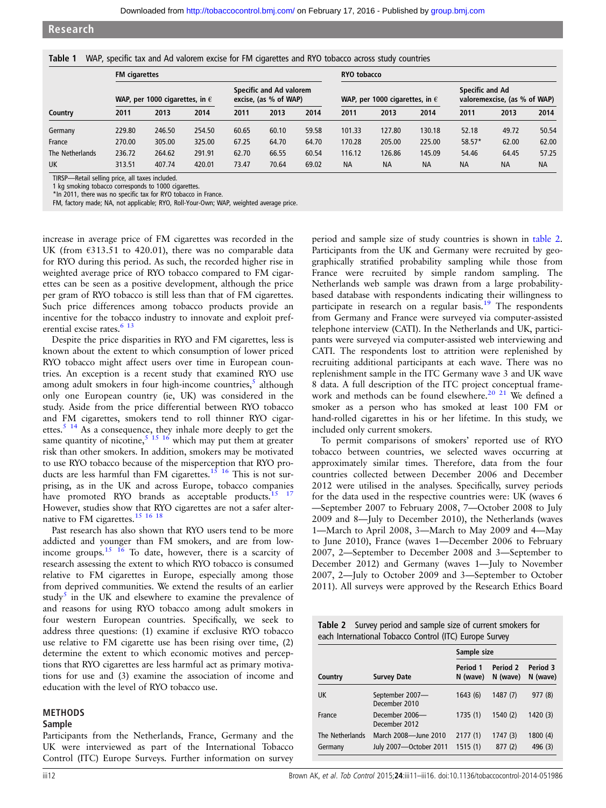<span id="page-2-0"></span>Table 1 WAP, specific tax and Ad valorem excise for FM cigarettes and RYO tobacco across study countries

| Country         | <b>FM cigarettes</b>                    |        |        |                                                  |       |       |                                         | RYO tobacco |           |                                                 |           |           |  |  |
|-----------------|-----------------------------------------|--------|--------|--------------------------------------------------|-------|-------|-----------------------------------------|-------------|-----------|-------------------------------------------------|-----------|-----------|--|--|
|                 | WAP, per 1000 cigarettes, in $\epsilon$ |        |        | Specific and Ad valorem<br>excise, (as % of WAP) |       |       | WAP, per 1000 cigarettes, in $\epsilon$ |             |           | Specific and Ad<br>valoremexcise, (as % of WAP) |           |           |  |  |
|                 | 2011                                    | 2013   | 2014   | 2011                                             | 2013  | 2014  | 2011                                    | 2013        | 2014      | 2011                                            | 2013      | 2014      |  |  |
| Germany         | 229.80                                  | 246.50 | 254.50 | 60.65                                            | 60.10 | 59.58 | 101.33                                  | 127.80      | 130.18    | 52.18                                           | 49.72     | 50.54     |  |  |
| France          | 270.00                                  | 305.00 | 325.00 | 67.25                                            | 64.70 | 64.70 | 170.28                                  | 205.00      | 225.00    | 58.57*                                          | 62.00     | 62.00     |  |  |
| The Netherlands | 236.72                                  | 264.62 | 291.91 | 62.70                                            | 66.55 | 60.54 | 116.12                                  | 126.86      | 145.09    | 54.46                                           | 64.45     | 57.25     |  |  |
| UK              | 313.51                                  | 407.74 | 420.01 | 73.47                                            | 70.64 | 69.02 | <b>NA</b>                               | <b>NA</b>   | <b>NA</b> | <b>NA</b>                                       | <b>NA</b> | <b>NA</b> |  |  |

TIRSP—Retail selling price, all taxes included.

1 kg smoking tobacco corresponds to 1000 cigarettes. \*In 2011, there was no specific tax for RYO tobacco in France.

FM, factory made; NA, not applicable; RYO, Roll-Your-Own; WAP, weighted average price.

increase in average price of FM cigarettes was recorded in the UK (from  $6313.51$  to 420.01), there was no comparable data for RYO during this period. As such, the recorded higher rise in weighted average price of RYO tobacco compared to FM cigarettes can be seen as a positive development, although the price per gram of RYO tobacco is still less than that of FM cigarettes. Such price differences among tobacco products provide an incentive for the tobacco industry to innovate and exploit preferential excise rates.<sup>6</sup> <sup>13</sup>

Despite the price disparities in RYO and FM cigarettes, less is known about the extent to which consumption of lower priced RYO tobacco might affect users over time in European countries. An exception is a recent study that examined RYO use among adult smokers in four high-income countries, $\frac{5}{3}$  $\frac{5}{3}$  $\frac{5}{3}$  although only one European country (ie, UK) was considered in the study. Aside from the price differential between RYO tobacco and FM cigarettes, smokers tend to roll thinner RYO cigarettes. $5<sup>14</sup>$  As a consequence, they inhale more deeply to get the same quantity of nicotine,  $5^{15}$  16 which may put them at greater risk than other smokers. In addition, smokers may be motivated to use RYO tobacco because of the misperception that RYO products are less harmful than FM cigarettes.<sup>15</sup> <sup>16</sup> This is not surprising, as in the UK and across Europe, tobacco companies have promoted RYO brands as acceptable products. $15 \t 17$ However, studies show that RYO cigarettes are not a safer alternative to FM cigarettes.<sup>15 16</sup> 18

Past research has also shown that RYO users tend to be more addicted and younger than FM smokers, and are from low-income groups.<sup>[15 16](#page-6-0)</sup> To date, however, there is a scarcity of research assessing the extent to which RYO tobacco is consumed relative to FM cigarettes in Europe, especially among those from deprived communities. We extend the results of an earlier study<sup>[5](#page-6-0)</sup> in the UK and elsewhere to examine the prevalence of and reasons for using RYO tobacco among adult smokers in four western European countries. Specifically, we seek to address three questions: (1) examine if exclusive RYO tobacco use relative to FM cigarette use has been rising over time, (2) determine the extent to which economic motives and perceptions that RYO cigarettes are less harmful act as primary motivations for use and (3) examine the association of income and education with the level of RYO tobacco use.

#### METHODS

#### Sample

Participants from the Netherlands, France, Germany and the UK were interviewed as part of the International Tobacco Control (ITC) Europe Surveys. Further information on survey

period and sample size of study countries is shown in table 2. Participants from the UK and Germany were recruited by geographically stratified probability sampling while those from France were recruited by simple random sampling. The Netherlands web sample was drawn from a large probabilitybased database with respondents indicating their willingness to participate in research on a regular basis.<sup>[19](#page-6-0)</sup> The respondents from Germany and France were surveyed via computer-assisted telephone interview (CATI). In the Netherlands and UK, participants were surveyed via computer-assisted web interviewing and CATI. The respondents lost to attrition were replenished by recruiting additional participants at each wave. There was no replenishment sample in the ITC Germany wave 3 and UK wave 8 data. A full description of the ITC project conceptual frame-work and methods can be found elsewhere.<sup>[20 21](#page-6-0)</sup> We defined a smoker as a person who has smoked at least 100 FM or hand-rolled cigarettes in his or her lifetime. In this study, we included only current smokers.

To permit comparisons of smokers' reported use of RYO tobacco between countries, we selected waves occurring at approximately similar times. Therefore, data from the four countries collected between December 2006 and December 2012 were utilised in the analyses. Specifically, survey periods for the data used in the respective countries were: UK (waves 6 —September 2007 to February 2008, 7—October 2008 to July 2009 and 8—July to December 2010), the Netherlands (waves 1—March to April 2008, 3—March to May 2009 and 4—May to June 2010), France (waves 1—December 2006 to February 2007, 2—September to December 2008 and 3—September to December 2012) and Germany (waves 1—July to November 2007, 2—July to October 2009 and 3—September to October 2011). All surveys were approved by the Research Ethics Board

Table 2 Survey period and sample size of current smokers for each International Tobacco Control (ITC) Europe Survey

|                 |                                  | Sample size          |                      |                      |  |  |  |
|-----------------|----------------------------------|----------------------|----------------------|----------------------|--|--|--|
| Country         | <b>Survey Date</b>               | Period 1<br>N (wave) | Period 2<br>N (wave) | Period 3<br>N (wave) |  |  |  |
| UK              | September 2007-<br>December 2010 | 1643(6)              | 1487 (7)             | 977(8)               |  |  |  |
| France          | December 2006-<br>December 2012  | 1735(1)              | 1540(2)              | 1420(3)              |  |  |  |
| The Netherlands | March 2008-June 2010             | 2177(1)              | 1747 (3)             | 1800(4)              |  |  |  |
| Germany         | July 2007-October 2011           | 1515(1)              | 877(2)               | 496 (3)              |  |  |  |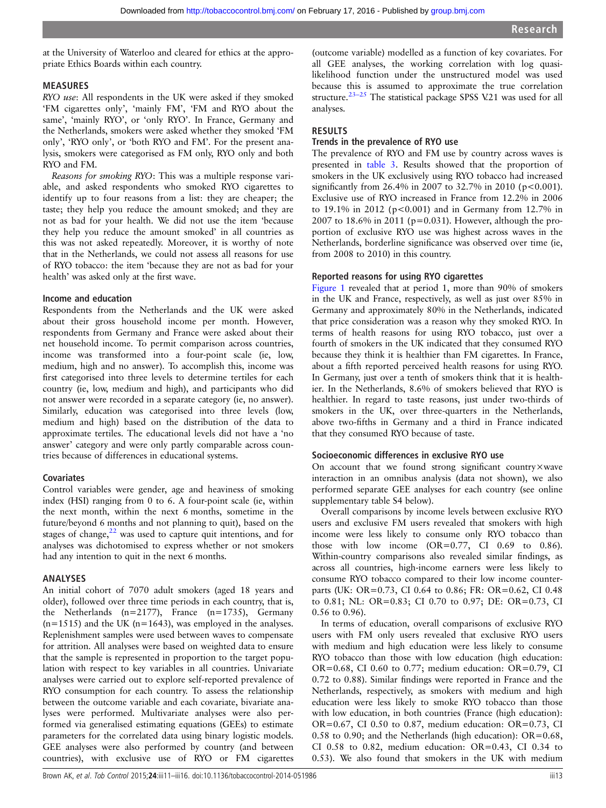at the University of Waterloo and cleared for ethics at the appropriate Ethics Boards within each country.

**MEASURES**<br>*RYO use*: All respondents in the UK were asked if they smoked RYO use: All respondents in the UK were asked if they smoked<br>'FM cigarettes only', 'mainly FM', 'FM and RYO about the same', 'mainly RYO', or 'only RYO'. In France, Germany and the Netherlands, smokers were asked whether they smoked 'FM only', 'RYO only', or 'both RYO and FM'. For the present analysis, smokers were categorised as FM only, RYO only and both RYO and FM.

Reasons for smoking RYO: This was a multiple response variable, and asked respondents who smoked RYO cigarettes to identify up to four reasons from a list: they are cheaper; the taste; they help you reduce the amount smoked; and they are not as bad for your health. We did not use the item 'because they help you reduce the amount smoked' in all countries as this was not asked repeatedly. Moreover, it is worthy of note that in the Netherlands, we could not assess all reasons for use of RYO tobacco: the item 'because they are not as bad for your health' was asked only at the first wave.

#### Income and education

Respondents from the Netherlands and the UK were asked about their gross household income per month. However, respondents from Germany and France were asked about their net household income. To permit comparison across countries, income was transformed into a four-point scale (ie, low, medium, high and no answer). To accomplish this, income was first categorised into three levels to determine tertiles for each country (ie, low, medium and high), and participants who did not answer were recorded in a separate category (ie, no answer). Similarly, education was categorised into three levels (low, medium and high) based on the distribution of the data to approximate tertiles. The educational levels did not have a 'no answer' category and were only partly comparable across countries because of differences in educational systems.

#### **Covariates**

Control variables were gender, age and heaviness of smoking index (HSI) ranging from 0 to 6. A four-point scale (ie, within the next month, within the next 6 months, sometime in the future/beyond 6 months and not planning to quit), based on the stages of change, $22$  was used to capture quit intentions, and for analyses was dichotomised to express whether or not smokers had any intention to quit in the next 6 months.

#### ANALYSES

An initial cohort of 7070 adult smokers (aged 18 years and older), followed over three time periods in each country, that is, the Netherlands (n=2177), France (n=1735), Germany  $(n=1515)$  and the UK (n=1643), was employed in the analyses. Replenishment samples were used between waves to compensate for attrition. All analyses were based on weighted data to ensure that the sample is represented in proportion to the target population with respect to key variables in all countries. Univariate analyses were carried out to explore self-reported prevalence of RYO consumption for each country. To assess the relationship between the outcome variable and each covariate, bivariate analyses were performed. Multivariate analyses were also performed via generalised estimating equations (GEEs) to estimate parameters for the correlated data using binary logistic models. GEE analyses were also performed by country (and between countries), with exclusive use of RYO or FM cigarettes

(outcome variable) modelled as a function of key covariates. For all GEE analyses, the working correlation with log quasilikelihood function under the unstructured model was used because this is assumed to approximate the true correlation structure.<sup>23–[25](#page-6-0)</sup> The statistical package SPSS V.21 was used for all analyses.

#### RESULTS

#### Trends in the prevalence of RYO use

The prevalence of RYO and FM use by country across waves is presented in [table 3.](#page-4-0) Results showed that the proportion of smokers in the UK exclusively using RYO tobacco had increased significantly from 26.4% in 2007 to 32.7% in 2010 ( $p < 0.001$ ). Exclusive use of RYO increased in France from 12.2% in 2006 to 19.1% in 2012 (p<0.001) and in Germany from 12.7% in 2007 to 18.6% in 2011 ( $p=0.031$ ). However, although the proportion of exclusive RYO use was highest across waves in the Netherlands, borderline significance was observed over time (ie, from 2008 to 2010) in this country.

#### Reported reasons for using RYO cigarettes

[Figure 1](#page-4-0) revealed that at period 1, more than 90% of smokers in the UK and France, respectively, as well as just over 85% in Germany and approximately 80% in the Netherlands, indicated that price consideration was a reason why they smoked RYO. In terms of health reasons for using RYO tobacco, just over a fourth of smokers in the UK indicated that they consumed RYO because they think it is healthier than FM cigarettes. In France, about a fifth reported perceived health reasons for using RYO. In Germany, just over a tenth of smokers think that it is healthier. In the Netherlands, 8.6% of smokers believed that RYO is healthier. In regard to taste reasons, just under two-thirds of smokers in the UK, over three-quarters in the Netherlands, above two-fifths in Germany and a third in France indicated that they consumed RYO because of taste.

#### Socioeconomic differences in exclusive RYO use

On account that we found strong significant country×wave interaction in an omnibus analysis (data not shown), we also performed separate GEE analyses for each country (see online supplementary table S4 below).

Overall comparisons by income levels between exclusive RYO users and exclusive FM users revealed that smokers with high income were less likely to consume only RYO tobacco than those with low income  $(OR=0.77, CI 0.69$  to 0.86). Within-country comparisons also revealed similar findings, as across all countries, high-income earners were less likely to consume RYO tobacco compared to their low income counterparts (UK: OR=0.73, CI 0.64 to 0.86; FR: OR=0.62, CI 0.48 to 0.81; NL: OR=0.83; CI 0.70 to 0.97; DE: OR=0.73, CI 0.56 to 0.96).

In terms of education, overall comparisons of exclusive RYO users with FM only users revealed that exclusive RYO users with medium and high education were less likely to consume RYO tobacco than those with low education (high education: OR=0.68, CI 0.60 to 0.77; medium education: OR=0.79, CI 0.72 to 0.88). Similar findings were reported in France and the Netherlands, respectively, as smokers with medium and high education were less likely to smoke RYO tobacco than those with low education, in both countries (France (high education): OR=0.67, CI 0.50 to 0.87, medium education: OR=0.73, CI 0.58 to 0.90; and the Netherlands (high education): OR=0.68, CI 0.58 to 0.82, medium education: OR=0.43, CI 0.34 to 0.53). We also found that smokers in the UK with medium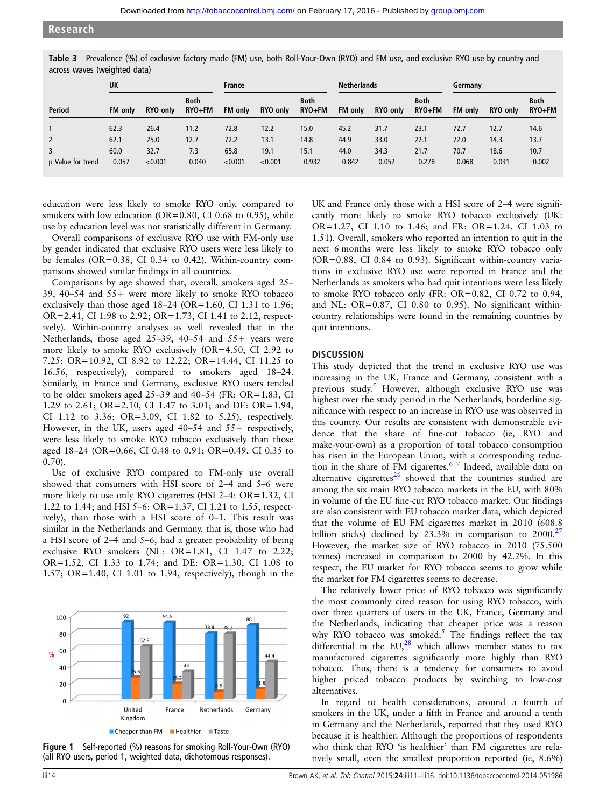| acioss waves (weighted data) |         |          |                           |         |          |                           |                    |          |                           |                |          |                           |
|------------------------------|---------|----------|---------------------------|---------|----------|---------------------------|--------------------|----------|---------------------------|----------------|----------|---------------------------|
|                              | UK      |          |                           | France  |          |                           | <b>Netherlands</b> |          |                           | Germany        |          |                           |
| <b>Period</b>                | FM only | RYO only | <b>Both</b><br>$RYO + FM$ | FM only | RYO only | <b>Both</b><br>$RYO + FM$ | <b>FM</b> only     | RYO only | <b>Both</b><br>$RYO + FM$ | <b>FM</b> only | RYO only | <b>Both</b><br>$RYO + FM$ |
|                              | 62.3    | 26.4     | 11.2                      | 72.8    | 12.2     | 15.0                      | 45.2               | 31.7     | 23.1                      | 72.7           | 12.7     | 14.6                      |
|                              | 62.1    | 25.0     | 12.7                      | 72.2    | 13.1     | 14.8                      | 44.9               | 33.0     | 22.1                      | 72.0           | 14.3     | 13.7                      |
|                              | 60.0    | 32.7     | 7.3                       | 65.8    | 19.1     | 15.1                      | 44.0               | 34.3     | 21.7                      | 70.7           | 18.6     | 10.7                      |
| p Value for trend            | 0.057   | < 0.001  | 0.040                     | < 0.001 | < 0.001  | 0.932                     | 0.842              | 0.052    | 0.278                     | 0.068          | 0.031    | 0.002                     |

<span id="page-4-0"></span>Table 3 Prevalence (%) of exclusive factory made (FM) use, both Roll-Your-Own (RYO) and FM use, and exclusive RYO use by country and across waves (weighted data)

education were less likely to smoke RYO only, compared to smokers with low education (OR=0.80, CI 0.68 to 0.95), while use by education level was not statistically different in Germany.

Overall comparisons of exclusive RYO use with FM-only use by gender indicated that exclusive RYO users were less likely to be females (OR=0.38, CI 0.34 to 0.42). Within-country comparisons showed similar findings in all countries.

Comparisons by age showed that, overall, smokers aged 25– 39, 40–54 and 55+ were more likely to smoke RYO tobacco exclusively than those aged 18–24 (OR=1.60, CI 1.31 to 1.96; OR=2.41, CI 1.98 to 2.92; OR=1.73, CI 1.41 to 2.12, respectively). Within-country analyses as well revealed that in the Netherlands, those aged 25–39, 40–54 and 55+ years were more likely to smoke RYO exclusively (OR=4.50, CI 2.92 to 7.25; OR=10.92, CI 8.92 to 12.22; OR=14.44, CI 11.25 to 16.56, respectively), compared to smokers aged 18–24. Similarly, in France and Germany, exclusive RYO users tended to be older smokers aged 25–39 and 40–54 (FR: OR=1.83, CI 1.29 to 2.61; OR=2.10, CI 1.47 to 3.01; and DE: OR=1.94, CI 1.12 to 3.36; OR=3.09, CI 1.82 to 5.25), respectively. However, in the UK, users aged 40–54 and 55+ respectively, were less likely to smoke RYO tobacco exclusively than those aged 18–24 (OR=0.66, CI 0.48 to 0.91; OR=0.49, CI 0.35 to 0.70).

Use of exclusive RYO compared to FM-only use overall showed that consumers with HSI score of 2–4 and 5–6 were more likely to use only RYO cigarettes (HSI 2–4: OR=1.32, CI 1.22 to 1.44; and HSI 5–6: OR=1.37, CI 1.21 to 1.55, respectively), than those with a HSI score of 0–1. This result was similar in the Netherlands and Germany, that is, those who had a HSI score of 2–4 and 5–6, had a greater probability of being exclusive RYO smokers (NL: OR=1.81, CI 1.47 to 2.22; OR=1.52, CI 1.33 to 1.74; and DE: OR=1.30, CI 1.08 to 1.57; OR=1.40, CI 1.01 to 1.94, respectively), though in the



Figure 1 Self-reported (%) reasons for smoking Roll-Your-Own (RYO) (all RYO users, period 1, weighted data, dichotomous responses).

UK and France only those with a HSI score of 2–4 were significantly more likely to smoke RYO tobacco exclusively (UK: OR=1.27, CI 1.10 to 1.46; and FR: OR=1.24, CI 1.03 to 1.51). Overall, smokers who reported an intention to quit in the next 6 months were less likely to smoke RYO tobacco only (OR=0.88, CI 0.84 to 0.93). Significant within-country variations in exclusive RYO use were reported in France and the Netherlands as smokers who had quit intentions were less likely to smoke RYO tobacco only (FR: OR=0.82, CI 0.72 to 0.94, and NL: OR=0.87, CI 0.80 to 0.95). No significant withincountry relationships were found in the remaining countries by quit intentions.

#### **DISCUSSION**

This study depicted that the trend in exclusive RYO use was increasing in the UK, France and Germany, consistent with a previous study.<sup>[5](#page-6-0)</sup> However, although exclusive RYO use was highest over the study period in the Netherlands, borderline significance with respect to an increase in RYO use was observed in this country. Our results are consistent with demonstrable evidence that the share of fine-cut tobacco (ie, RYO and make-your-own) as a proportion of total tobacco consumption has risen in the European Union, with a corresponding reduction in the share of FM cigarettes.<sup>67</sup> Indeed, available data on alternative cigarettes<sup>[26](#page-6-0)</sup> showed that the countries studied are among the six main RYO tobacco markets in the EU, with 80% in volume of the EU fine-cut RYO tobacco market. Our findings are also consistent with EU tobacco market data, which depicted that the volume of EU FM cigarettes market in 2010 (608.8 billion sticks) declined by  $23.3\%$  in comparison to  $2000.<sup>27</sup>$  $2000.<sup>27</sup>$  $2000.<sup>27</sup>$ However, the market size of RYO tobacco in 2010 (75.500 tonnes) increased in comparison to 2000 by 42.2%. In this respect, the EU market for RYO tobacco seems to grow while the market for FM cigarettes seems to decrease.

The relatively lower price of RYO tobacco was significantly the most commonly cited reason for using RYO tobacco, with over three quarters of users in the UK, France, Germany and the Netherlands, indicating that cheaper price was a reason why RYO tobacco was smoked.<sup>[5](#page-6-0)</sup> The findings reflect the tax differential in the  $EU^{28}$  $EU^{28}$  $EU^{28}$ , which allows member states to tax manufactured cigarettes significantly more highly than RYO tobacco. Thus, there is a tendency for consumers to avoid higher priced tobacco products by switching to low-cost alternatives.

In regard to health considerations, around a fourth of smokers in the UK, under a fifth in France and around a tenth in Germany and the Netherlands, reported that they used RYO because it is healthier. Although the proportions of respondents who think that RYO 'is healthier' than FM cigarettes are relatively small, even the smallest proportion reported (ie, 8.6%)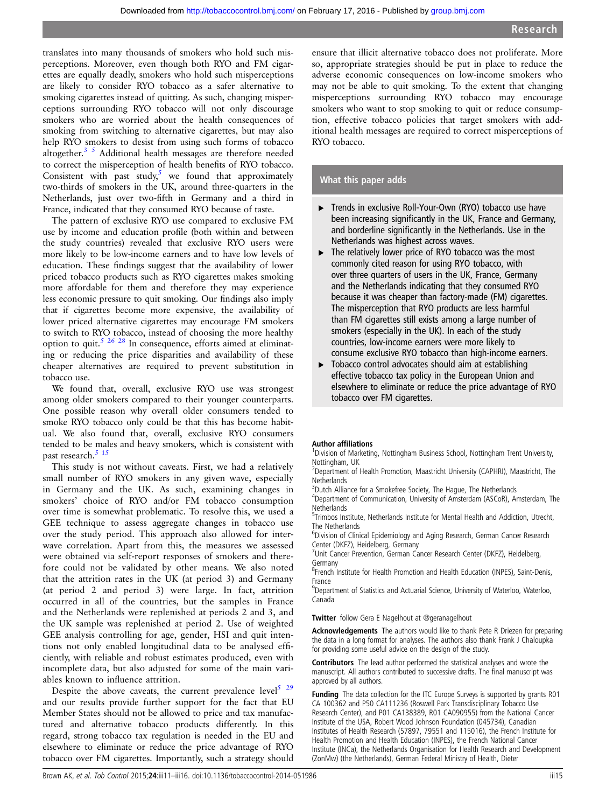translates into many thousands of smokers who hold such misperceptions. Moreover, even though both RYO and FM cigarettes are equally deadly, smokers who hold such misperceptions are likely to consider RYO tobacco as a safer alternative to smoking cigarettes instead of quitting. As such, changing misperceptions surrounding RYO tobacco will not only discourage smokers who are worried about the health consequences of smoking from switching to alternative cigarettes, but may also help RYO smokers to desist from using such forms of tobacco altogether. $3 \times 5$  Additional health messages are therefore needed to correct the misperception of health benefits of RYO tobacco. Consistent with past study,<sup>5</sup> we found that approximately two-thirds of smokers in the UK, around three-quarters in the Netherlands, just over two-fifth in Germany and a third in France, indicated that they consumed RYO because of taste.

The pattern of exclusive RYO use compared to exclusive FM use by income and education profile (both within and between the study countries) revealed that exclusive RYO users were more likely to be low-income earners and to have low levels of education. These findings suggest that the availability of lower priced tobacco products such as RYO cigarettes makes smoking more affordable for them and therefore they may experience less economic pressure to quit smoking. Our findings also imply that if cigarettes become more expensive, the availability of lower priced alternative cigarettes may encourage FM smokers to switch to RYO tobacco, instead of choosing the more healthy option to quit.<sup>[5 26 28](#page-6-0)</sup> In consequence, efforts aimed at eliminating or reducing the price disparities and availability of these cheaper alternatives are required to prevent substitution in tobacco use.

We found that, overall, exclusive RYO use was strongest among older smokers compared to their younger counterparts. One possible reason why overall older consumers tended to smoke RYO tobacco only could be that this has become habitual. We also found that, overall, exclusive RYO consumers tended to be males and heavy smokers, which is consistent with past research.<sup>5</sup> <sup>15</sup>

This study is not without caveats. First, we had a relatively small number of RYO smokers in any given wave, especially in Germany and the UK. As such, examining changes in smokers' choice of RYO and/or FM tobacco consumption over time is somewhat problematic. To resolve this, we used a GEE technique to assess aggregate changes in tobacco use over the study period. This approach also allowed for interwave correlation. Apart from this, the measures we assessed were obtained via self-report responses of smokers and therefore could not be validated by other means. We also noted that the attrition rates in the UK (at period 3) and Germany (at period 2 and period 3) were large. In fact, attrition occurred in all of the countries, but the samples in France and the Netherlands were replenished at periods 2 and 3, and the UK sample was replenished at period 2. Use of weighted GEE analysis controlling for age, gender, HSI and quit intentions not only enabled longitudinal data to be analysed efficiently, with reliable and robust estimates produced, even with incomplete data, but also adjusted for some of the main variables known to influence attrition.

Despite the above caveats, the current prevalence level<sup>5</sup>  $29$ and our results provide further support for the fact that EU Member States should not be allowed to price and tax manufactured and alternative tobacco products differently. In this regard, strong tobacco tax regulation is needed in the EU and elsewhere to eliminate or reduce the price advantage of RYO tobacco over FM cigarettes. Importantly, such a strategy should

ensure that illicit alternative tobacco does not proliferate. More so, appropriate strategies should be put in place to reduce the adverse economic consequences on low-income smokers who may not be able to quit smoking. To the extent that changing misperceptions surrounding RYO tobacco may encourage smokers who want to stop smoking to quit or reduce consumption, effective tobacco policies that target smokers with additional health messages are required to correct misperceptions of RYO tobacco.

#### What this paper adds

- ▶ Trends in exclusive Roll-Your-Own (RYO) tobacco use have been increasing significantly in the UK, France and Germany, and borderline significantly in the Netherlands. Use in the Netherlands was highest across waves.
- ▸ The relatively lower price of RYO tobacco was the most commonly cited reason for using RYO tobacco, with over three quarters of users in the UK, France, Germany and the Netherlands indicating that they consumed RYO because it was cheaper than factory-made (FM) cigarettes. The misperception that RYO products are less harmful than FM cigarettes still exists among a large number of smokers (especially in the UK). In each of the study countries, low-income earners were more likely to consume exclusive RYO tobacco than high-income earners.
- ▸ Tobacco control advocates should aim at establishing effective tobacco tax policy in the European Union and elsewhere to eliminate or reduce the price advantage of RYO tobacco over FM cigarettes.

#### Author affiliations <sup>1</sup>

<sup>1</sup>Division of Marketing, Nottingham Business School, Nottingham Trent University, Nottingham, UK

2 Department of Health Promotion, Maastricht University (CAPHRI), Maastricht, The Netherlands

<sup>3</sup>Dutch Alliance for a Smokefree Society, The Hague, The Netherlands

4 Department of Communication, University of Amsterdam (ASCoR), Amsterdam, The **Netherlands** 

<sup>5</sup>Trimbos Institute, Netherlands Institute for Mental Health and Addiction, Utrecht, The Netherlands

<sup>6</sup>Division of Clinical Epidemiology and Aging Research, German Cancer Research Center (DKFZ), Heidelberg, Germany

<sup>7</sup>Unit Cancer Prevention, German Cancer Research Center (DKFZ), Heidelberg, Germany

<sup>8</sup> French Institute for Health Promotion and Health Education (INPES), Saint-Denis, France

<sup>9</sup>Department of Statistics and Actuarial Science, University of Waterloo, Waterloo, Canada

Twitter follow Gera E Nagelhout at @geranagelhout

Acknowledgements The authors would like to thank Pete R Driezen for preparing the data in a long format for analyses. The authors also thank Frank J Chaloupka for providing some useful advice on the design of the study.

Contributors The lead author performed the statistical analyses and wrote the manuscript. All authors contributed to successive drafts. The final manuscript was approved by all authors.

Funding The data collection for the ITC Europe Surveys is supported by grants R01 CA 100362 and P50 CA111236 (Roswell Park Transdisciplinary Tobacco Use Research Center), and P01 CA138389, R01 CA090955) from the National Cancer Institute of the USA, Robert Wood Johnson Foundation (045734), Canadian Institutes of Health Research (57897, 79551 and 115016), the French Institute for Health Promotion and Health Education (INPES), the French National Cancer Institute (INCa), the Netherlands Organisation for Health Research and Development (ZonMw) (the Netherlands), German Federal Ministry of Health, Dieter